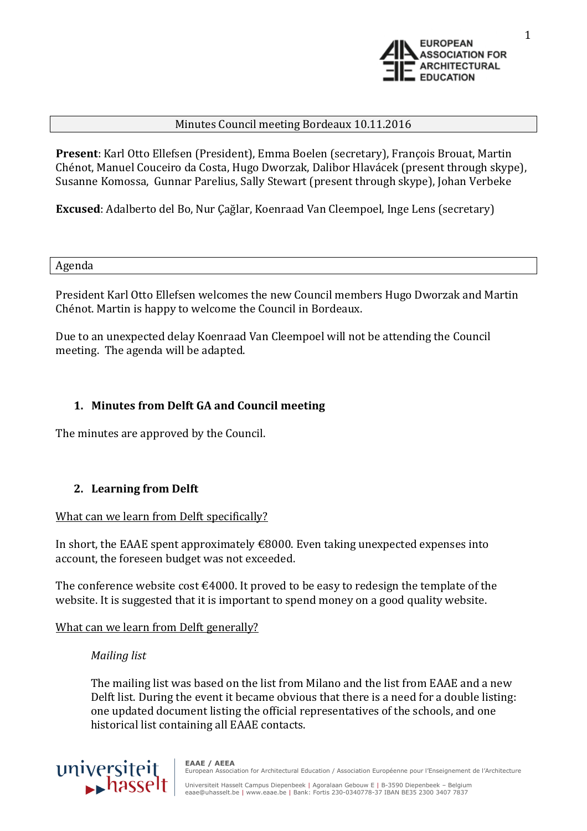

### Minutes Council meeting Bordeaux 10.11.2016

**Present**: Karl Otto Ellefsen (President), Emma Boelen (secretary), François Brouat, Martin Chénot, Manuel Couceiro da Costa, Hugo Dworzak, Dalibor Hlavácek (present through skype), Susanne Komossa, Gunnar Parelius, Sally Stewart (present through skype), Johan Verbeke

**Excused**: Adalberto del Bo, Nur Çağlar, Koenraad Van Cleempoel, Inge Lens (secretary)

Agenda

President Karl Otto Ellefsen welcomes the new Council members Hugo Dworzak and Martin Chénot. Martin is happy to welcome the Council in Bordeaux.

Due to an unexpected delay Koenraad Van Cleempoel will not be attending the Council meeting. The agenda will be adapted.

## **1. Minutes from Delft GA and Council meeting**

The minutes are approved by the Council.

## **2. Learning from Delft**

#### What can we learn from Delft specifically?

In short, the EAAE spent approximately  $\epsilon$ 8000. Even taking unexpected expenses into account, the foreseen budget was not exceeded.

The conference website cost  $\epsilon$ 4000. It proved to be easy to redesign the template of the website. It is suggested that it is important to spend money on a good quality website.

#### What can we learn from Delft generally?

#### *Mailing list*

The mailing list was based on the list from Milano and the list from EAAE and a new Delft list. During the event it became obvious that there is a need for a double listing: one updated document listing the official representatives of the schools, and one historical list containing all EAAE contacts.

universiteit

**EAAE / AEEA** European Association for Architectural Education / Association Européenne pour l'Enseignement de l'Architecture

Universiteit Hasselt Campus Diepenbeek | Agoralaan Gebouw E | B-3590 Diepenbeek – Belgium eaae@uhasselt.be | www.eaae.be | Bank: Fortis 230-0340778-37 IBAN BE35 2300 3407 7837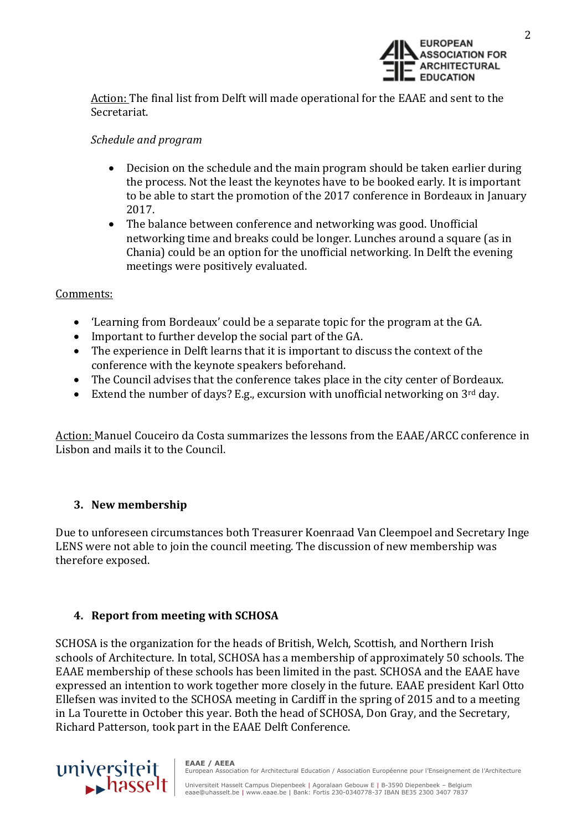

Action: The final list from Delft will made operational for the EAAE and sent to the Secretariat.

## *Schedule and program*

- Decision on the schedule and the main program should be taken earlier during the process. Not the least the keynotes have to be booked early. It is important to be able to start the promotion of the 2017 conference in Bordeaux in January 2017.
- The balance between conference and networking was good. Unofficial networking time and breaks could be longer. Lunches around a square (as in Chania) could be an option for the unofficial networking. In Delft the evening meetings were positively evaluated.

### Comments:

- 'Learning from Bordeaux' could be a separate topic for the program at the GA.
- Important to further develop the social part of the GA.
- The experience in Delft learns that it is important to discuss the context of the conference with the keynote speakers beforehand.
- The Council advises that the conference takes place in the city center of Bordeaux.
- Extend the number of days? E.g., excursion with unofficial networking on  $3^{rd}$  day.

Action: Manuel Couceiro da Costa summarizes the lessons from the EAAE/ARCC conference in Lisbon and mails it to the Council.

## **3. New membership**

Due to unforeseen circumstances both Treasurer Koenraad Van Cleempoel and Secretary Inge LENS were not able to join the council meeting. The discussion of new membership was therefore exposed.

# **4. Report from meeting with SCHOSA**

SCHOSA is the organization for the heads of British, Welch, Scottish, and Northern Irish schools of Architecture. In total, SCHOSA has a membership of approximately 50 schools. The EAAE membership of these schools has been limited in the past. SCHOSA and the EAAE have expressed an intention to work together more closely in the future. EAAE president Karl Otto Ellefsen was invited to the SCHOSA meeting in Cardiff in the spring of 2015 and to a meeting in La Tourette in October this year. Both the head of SCHOSA, Don Gray, and the Secretary, Richard Patterson, took part in the EAAE Delft Conference.

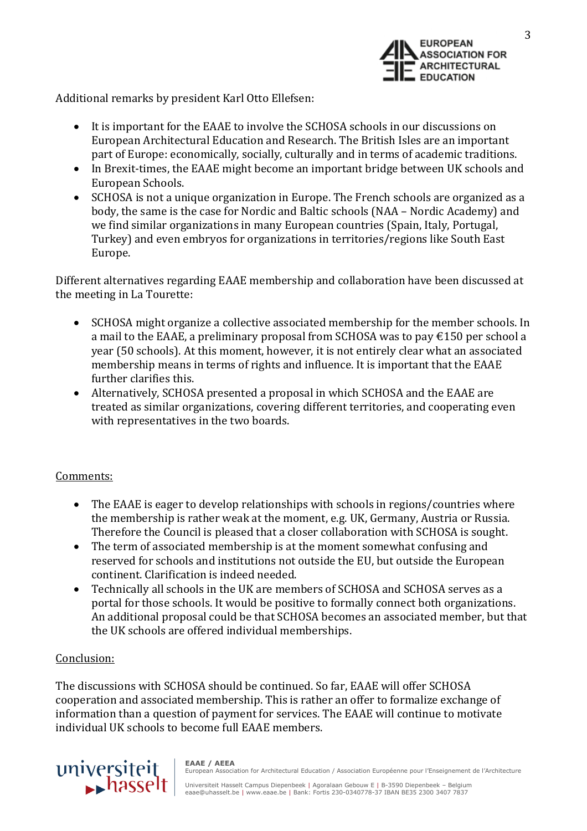

3

Additional remarks by president Karl Otto Ellefsen:

- It is important for the EAAE to involve the SCHOSA schools in our discussions on European Architectural Education and Research. The British Isles are an important part of Europe: economically, socially, culturally and in terms of academic traditions.
- In Brexit-times, the EAAE might become an important bridge between UK schools and European Schools.
- SCHOSA is not a unique organization in Europe. The French schools are organized as a body, the same is the case for Nordic and Baltic schools (NAA – Nordic Academy) and we find similar organizations in many European countries (Spain, Italy, Portugal, Turkey) and even embryos for organizations in territories/regions like South East Europe.

Different alternatives regarding EAAE membership and collaboration have been discussed at the meeting in La Tourette:

- SCHOSA might organize a collective associated membership for the member schools. In a mail to the EAAE, a preliminary proposal from SCHOSA was to pay €150 per school a year (50 schools). At this moment, however, it is not entirely clear what an associated membership means in terms of rights and influence. It is important that the EAAE further clarifies this.
- Alternatively, SCHOSA presented a proposal in which SCHOSA and the EAAE are treated as similar organizations, covering different territories, and cooperating even with representatives in the two boards.

#### Comments:

- The EAAE is eager to develop relationships with schools in regions/countries where the membership is rather weak at the moment, e.g. UK, Germany, Austria or Russia. Therefore the Council is pleased that a closer collaboration with SCHOSA is sought.
- The term of associated membership is at the moment somewhat confusing and reserved for schools and institutions not outside the EU, but outside the European continent. Clarification is indeed needed.
- Technically all schools in the UK are members of SCHOSA and SCHOSA serves as a portal for those schools. It would be positive to formally connect both organizations. An additional proposal could be that SCHOSA becomes an associated member, but that the UK schools are offered individual memberships.

#### Conclusion:

The discussions with SCHOSA should be continued. So far, EAAE will offer SCHOSA cooperation and associated membership. This is rather an offer to formalize exchange of information than a question of payment for services. The EAAE will continue to motivate individual UK schools to become full EAAE members.



**EAAE / AEEA** European Association for Architectural Education / Association Européenne pour l'Enseignement de l'Architecture

Universiteit Hasselt Campus Diepenbeek | Agoralaan Gebouw E | B-3590 Diepenbeek – Belgium eaae@uhasselt.be | www.eaae.be | Bank: Fortis 230-0340778-37 IBAN BE35 2300 3407 7837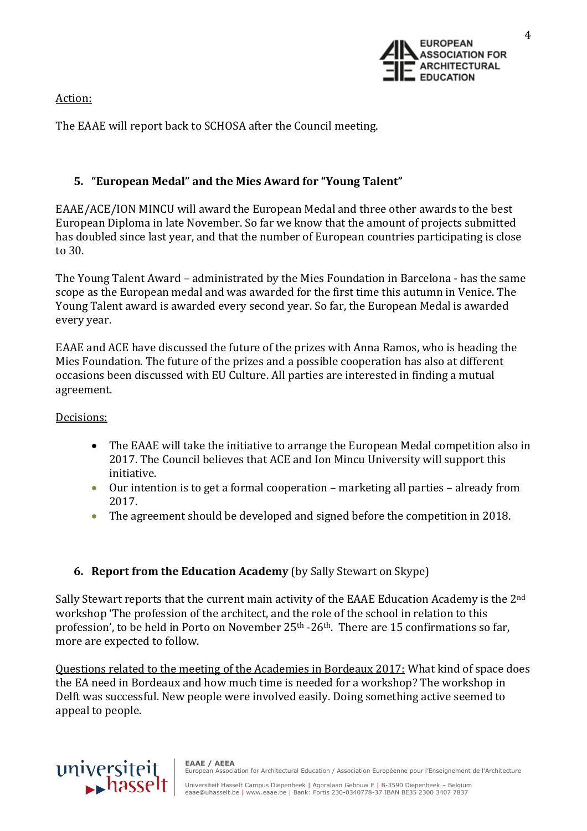Action:



The EAAE will report back to SCHOSA after the Council meeting.

# **5. "European Medal" and the Mies Award for "Young Talent"**

EAAE/ACE/ION MINCU will award the European Medal and three other awards to the best European Diploma in late November. So far we know that the amount of projects submitted has doubled since last year, and that the number of European countries participating is close to 30.

The Young Talent Award – administrated by the Mies Foundation in Barcelona - has the same scope as the European medal and was awarded for the first time this autumn in Venice. The Young Talent award is awarded every second year. So far, the European Medal is awarded every year.

EAAE and ACE have discussed the future of the prizes with Anna Ramos, who is heading the Mies Foundation. The future of the prizes and a possible cooperation has also at different occasions been discussed with EU Culture. All parties are interested in finding a mutual agreement.

Decisions:

- The EAAE will take the initiative to arrange the European Medal competition also in 2017. The Council believes that ACE and Ion Mincu University will support this initiative.
- Our intention is to get a formal cooperation marketing all parties already from 2017.
- The agreement should be developed and signed before the competition in 2018.

# **6. Report from the Education Academy** (by Sally Stewart on Skype)

Sally Stewart reports that the current main activity of the EAAE Education Academy is the 2<sup>nd</sup> workshop 'The profession of the architect, and the role of the school in relation to this profession', to be held in Porto on November 25<sup>th</sup> -26<sup>th</sup>. There are 15 confirmations so far, more are expected to follow.

Questions related to the meeting of the Academies in Bordeaux 2017: What kind of space does the EA need in Bordeaux and how much time is needed for a workshop? The workshop in Delft was successful. New people were involved easily. Doing something active seemed to appeal to people.



**EAAE / AEEA** European Association for Architectural Education / Association Européenne pour l'Enseignement de l'Architecture

Universiteit Hasselt Campus Diepenbeek | Agoralaan Gebouw E | B-3590 Diepenbeek – Belgium eaae@uhasselt.be | www.eaae.be | Bank: Fortis 230-0340778-37 IBAN BE35 2300 3407 7837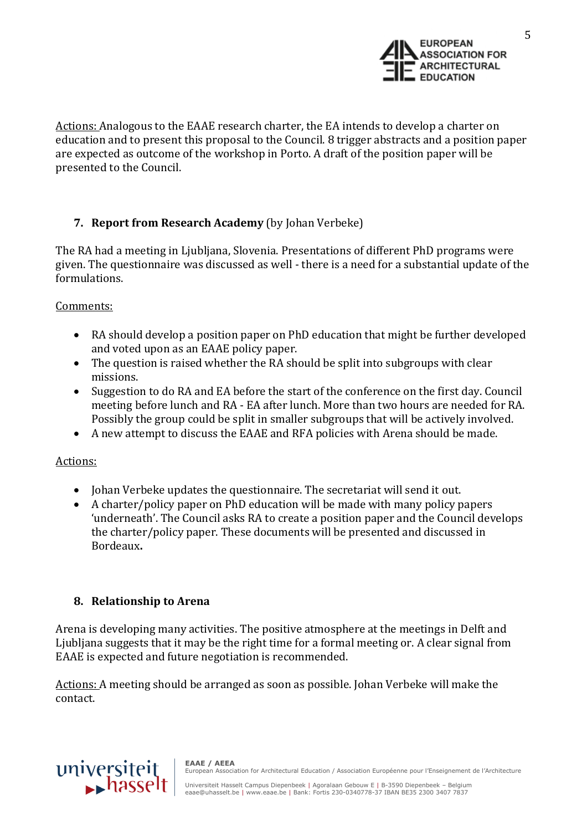

5

Actions: Analogous to the EAAE research charter, the EA intends to develop a charter on education and to present this proposal to the Council. 8 trigger abstracts and a position paper are expected as outcome of the workshop in Porto. A draft of the position paper will be presented to the Council.

# **7. Report from Research Academy** (by Johan Verbeke)

The RA had a meeting in Ljubljana, Slovenia. Presentations of different PhD programs were given. The questionnaire was discussed as well - there is a need for a substantial update of the formulations.

## Comments:

- RA should develop a position paper on PhD education that might be further developed and voted upon as an EAAE policy paper.
- The question is raised whether the RA should be split into subgroups with clear missions.
- Suggestion to do RA and EA before the start of the conference on the first day. Council meeting before lunch and RA - EA after lunch. More than two hours are needed for RA. Possibly the group could be split in smaller subgroups that will be actively involved.
- A new attempt to discuss the EAAE and RFA policies with Arena should be made.

## Actions:

- Johan Verbeke updates the questionnaire. The secretariat will send it out.
- A charter/policy paper on PhD education will be made with many policy papers 'underneath'. The Council asks RA to create a position paper and the Council develops the charter/policy paper. These documents will be presented and discussed in Bordeaux**.**

## **8. Relationship to Arena**

Arena is developing many activities. The positive atmosphere at the meetings in Delft and Ljubljana suggests that it may be the right time for a formal meeting or. A clear signal from EAAE is expected and future negotiation is recommended.

Actions: A meeting should be arranged as soon as possible. Johan Verbeke will make the contact.

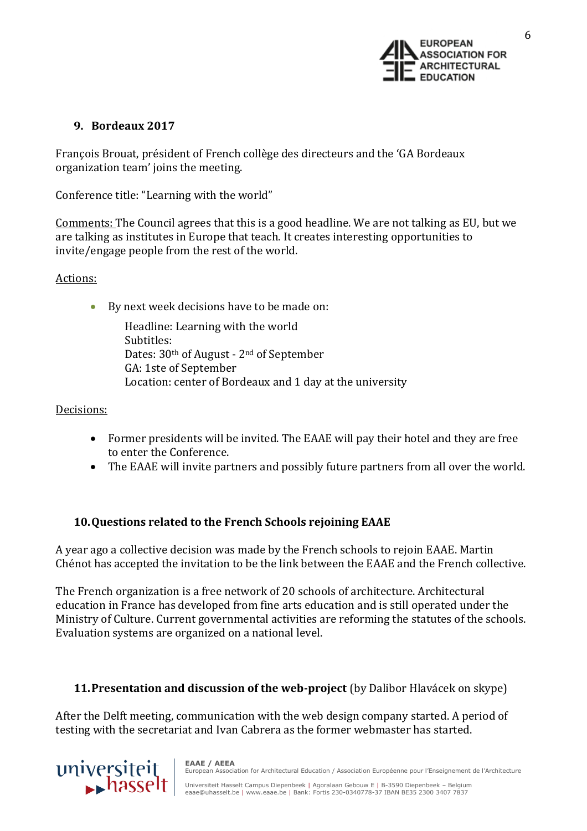

## **9. Bordeaux 2017**

François Brouat, président of French collège des directeurs and the 'GA Bordeaux organization team' joins the meeting.

Conference title: "Learning with the world"

Comments: The Council agrees that this is a good headline. We are not talking as EU, but we are talking as institutes in Europe that teach. It creates interesting opportunities to invite/engage people from the rest of the world.

## Actions:

By next week decisions have to be made on:

Headline: Learning with the world Subtitles: Dates: 30th of August - 2nd of September GA: 1ste of September Location: center of Bordeaux and 1 day at the university

## Decisions:

- Former presidents will be invited. The EAAE will pay their hotel and they are free to enter the Conference.
- The EAAE will invite partners and possibly future partners from all over the world.

# **10.Questions related to the French Schools rejoining EAAE**

A year ago a collective decision was made by the French schools to rejoin EAAE. Martin Chénot has accepted the invitation to be the link between the EAAE and the French collective.

The French organization is a free network of 20 schools of architecture. Architectural education in France has developed from fine arts education and is still operated under the Ministry of Culture. Current governmental activities are reforming the statutes of the schools. Evaluation systems are organized on a national level.

# **11.Presentation and discussion of the web-project** (by Dalibor Hlavácek on skype)

After the Delft meeting, communication with the web design company started. A period of testing with the secretariat and Ivan Cabrera as the former webmaster has started.

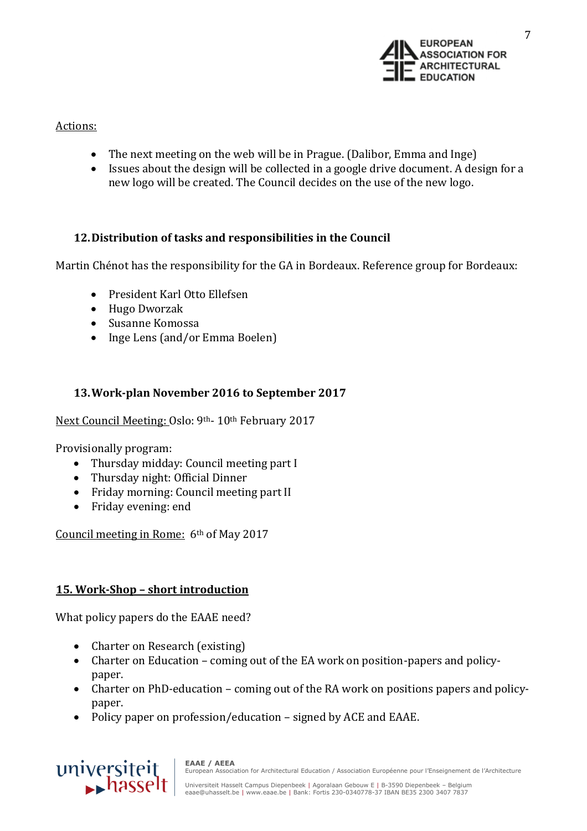

## Actions:

- The next meeting on the web will be in Prague. (Dalibor, Emma and Inge)
- Issues about the design will be collected in a google drive document. A design for a new logo will be created. The Council decides on the use of the new logo.

## **12.Distribution of tasks and responsibilities in the Council**

Martin Chénot has the responsibility for the GA in Bordeaux. Reference group for Bordeaux:

- President Karl Otto Ellefsen
- Hugo Dworzak
- Susanne Komossa
- Inge Lens (and/or Emma Boelen)

## **13.Work-plan November 2016 to September 2017**

Next Council Meeting: Oslo: 9th- 10th February 2017

Provisionally program:

- Thursday midday: Council meeting part I
- Thursday night: Official Dinner
- Friday morning: Council meeting part II
- Friday evening: end

Council meeting in Rome: 6th of May 2017

## **15. Work-Shop – short introduction**

What policy papers do the EAAE need?

- Charter on Research (existing)
- Charter on Education coming out of the EA work on position-papers and policypaper.
- Charter on PhD-education coming out of the RA work on positions papers and policypaper.
- Policy paper on profession/education signed by ACE and EAAE.